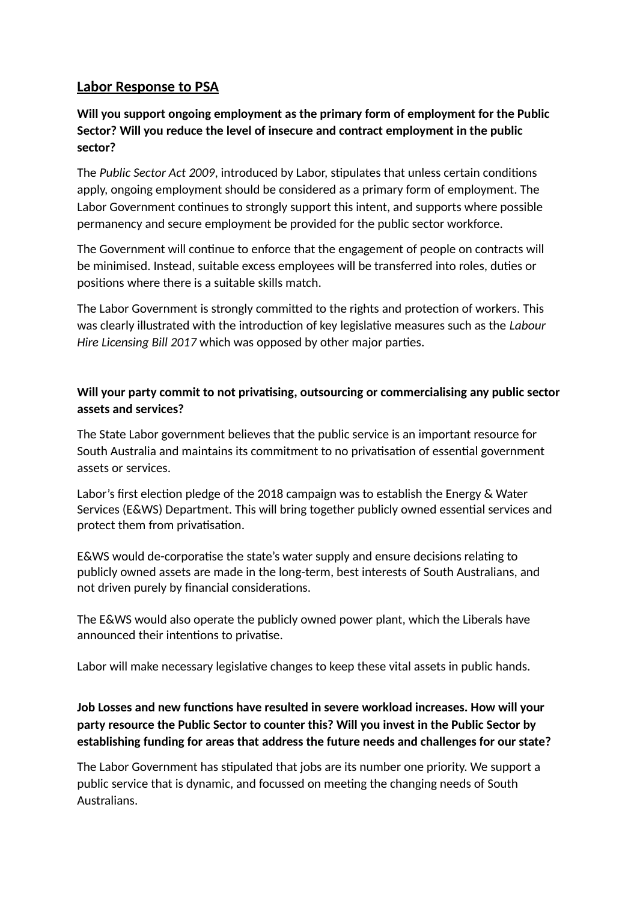# **Labor Response to PSA**

## **Will you support ongoing employment as the primary form of employment for the Public Sector? Will you reduce the level of insecure and contract employment in the public sector?**

The *Public Sector Act 2009*, introduced by Labor, stipulates that unless certain conditions apply, ongoing employment should be considered as a primary form of employment. The Labor Government continues to strongly support this intent, and supports where possible permanency and secure employment be provided for the public sector workforce.

The Government will continue to enforce that the engagement of people on contracts will be minimised. Instead, suitable excess employees will be transferred into roles, duties or positions where there is a suitable skills match.

The Labor Government is strongly committed to the rights and protection of workers. This was clearly illustrated with the introduction of key legislative measures such as the *Labour Hire Licensing Bill 2017* which was opposed by other major parties.

## **Will your party commit to not privatising, outsourcing or commercialising any public sector assets and services?**

The State Labor government believes that the public service is an important resource for South Australia and maintains its commitment to no privatisation of essential government assets or services.

Labor's first election pledge of the 2018 campaign was to establish the Energy & Water Services (E&WS) Department. This will bring together publicly owned essential services and protect them from privatisation.

E&WS would de-corporatise the state's water supply and ensure decisions relating to publicly owned assets are made in the long-term, best interests of South Australians, and not driven purely by financial considerations.

The E&WS would also operate the publicly owned power plant, which the Liberals have announced their intentions to privatise.

Labor will make necessary legislative changes to keep these vital assets in public hands.

# **Job Losses and new functions have resulted in severe workload increases. How will your party resource the Public Sector to counter this? Will you invest in the Public Sector by establishing funding for areas that address the future needs and challenges for our state?**

The Labor Government has stipulated that jobs are its number one priority. We support a public service that is dynamic, and focussed on meeting the changing needs of South Australians.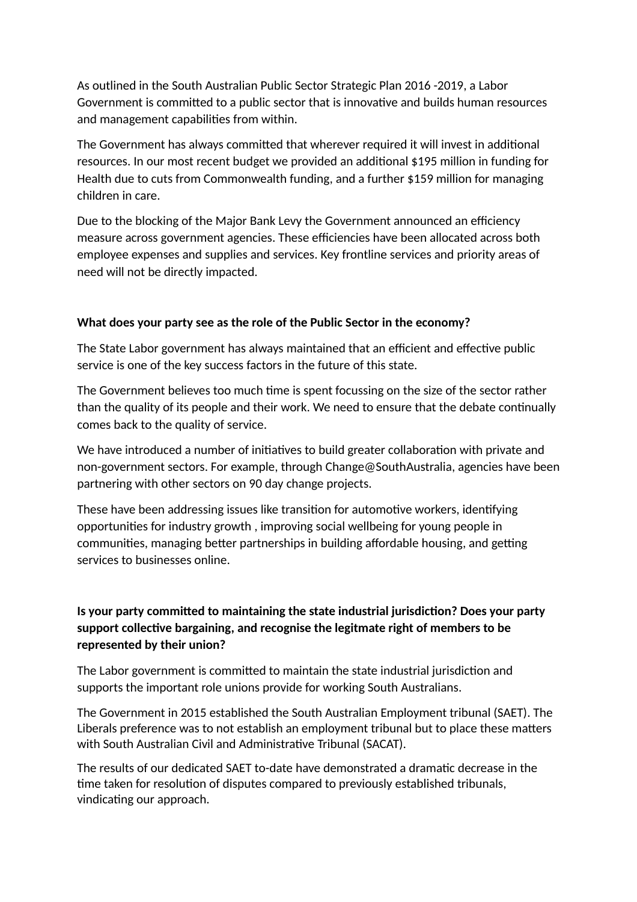As outlined in the South Australian Public Sector Strategic Plan 2016 -2019, a Labor Government is committed to a public sector that is innovative and builds human resources and management capabilities from within.

The Government has always committed that wherever required it will invest in additional resources. In our most recent budget we provided an additional \$195 million in funding for Health due to cuts from Commonwealth funding, and a further \$159 million for managing children in care.

Due to the blocking of the Major Bank Levy the Government announced an efficiency measure across government agencies. These efficiencies have been allocated across both employee expenses and supplies and services. Key frontline services and priority areas of need will not be directly impacted.

#### **What does your party see as the role of the Public Sector in the economy?**

The State Labor government has always maintained that an efficient and effective public service is one of the key success factors in the future of this state.

The Government believes too much time is spent focussing on the size of the sector rather than the quality of its people and their work. We need to ensure that the debate continually comes back to the quality of service.

We have introduced a number of initiatives to build greater collaboration with private and non-government sectors. For example, through Change@SouthAustralia, agencies have been partnering with other sectors on 90 day change projects.

These have been addressing issues like transition for automotive workers, identifying opportunities for industry growth , improving social wellbeing for young people in communities, managing better partnerships in building affordable housing, and getting services to businesses online.

## **Is your party committed to maintaining the state industrial jurisdiction? Does your party support collective bargaining, and recognise the legitmate right of members to be represented by their union?**

The Labor government is committed to maintain the state industrial jurisdiction and supports the important role unions provide for working South Australians.

The Government in 2015 established the South Australian Employment tribunal (SAET). The Liberals preference was to not establish an employment tribunal but to place these matters with South Australian Civil and Administrative Tribunal (SACAT).

The results of our dedicated SAET to-date have demonstrated a dramatic decrease in the time taken for resolution of disputes compared to previously established tribunals, vindicating our approach.